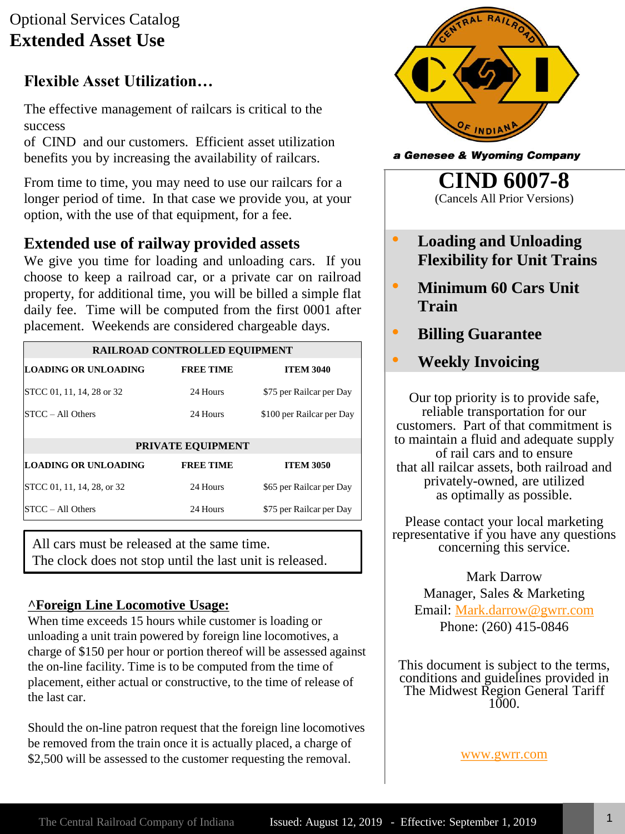## Optional Services Catalog **Extended Asset Use**

### **Flexible Asset Utilization…**

The effective management of railcars is critical to the success

of CIND and our customers. Efficient asset utilization benefits you by increasing the availability of railcars.

From time to time, you may need to use our railcars for a longer period of time. In that case we provide you, at your option, with the use of that equipment, for a fee.

### **Extended use of railway provided assets**

We give you time for loading and unloading cars. If you choose to keep a railroad car, or a private car on railroad property, for additional time, you will be billed a simple flat daily fee. Time will be computed from the first 0001 after placement. Weekends are considered chargeable days.

| <b>RAILROAD CONTROLLED EQUIPMENT</b> |                  |                           |
|--------------------------------------|------------------|---------------------------|
| LOADING OR UNLOADING                 | <b>FREE TIME</b> | <b>ITEM 3040</b>          |
| STCC 01, 11, 14, 28 or 32            | 24 Hours         | \$75 per Railcar per Day  |
| $STCC - All Others$                  | 24 Hours         | \$100 per Railcar per Day |
|                                      |                  |                           |
| <b>PRIVATE EQUIPMENT</b>             |                  |                           |
| <b>LOADING OR UNLOADING</b>          | <b>FREE TIME</b> | <b>ITEM 3050</b>          |
| STCC 01, 11, 14, 28, or 32           | 24 Hours         | \$65 per Railcar per Day  |
| $STCC - All Others$                  | 24 Hours         | \$75 per Railcar per Day  |

All cars must be released at the same time. The clock does not stop until the last unit is released.

#### **^Foreign Line Locomotive Usage:**

When time exceeds 15 hours while customer is loading or unloading a unit train powered by foreign line locomotives, a charge of \$150 per hour or portion thereof will be assessed against the on-line facility. Time is to be computed from the time of placement, either actual or constructive, to the time of release of the last car.

Should the on-line patron request that the foreign line locomotives be removed from the train once it is actually placed, a charge of \$2,500 will be assessed to the customer requesting the removal.



a Genesee & Wyoming Company

**CIND 6007-8** (Cancels All Prior Versions)

- **Loading and Unloading Flexibility for Unit Trains**
- **Minimum 60 Cars Unit Train**
- **Billing Guarantee**
	- **Weekly Invoicing**

Our top priority is to provide safe, reliable transportation for our customers. Part of that commitment is to maintain a fluid and adequate supply of rail cars and to ensure that all railcar assets, both railroad and privately-owned, are utilized as optimally as possible.

Please contact your local marketing representative if you have any questions concerning this service.

Mark Darrow Manager, Sales & Marketing Email: [Mark.darrow@gwrr.com](mailto:Mark.darrow@gwrr.com) Phone: (260) 415-0846

This document is subject to the terms, conditions and guidelines provided in The Midwest Region General Tariff 1000.

[www.gwrr.com](http://www.gwrr.com/)